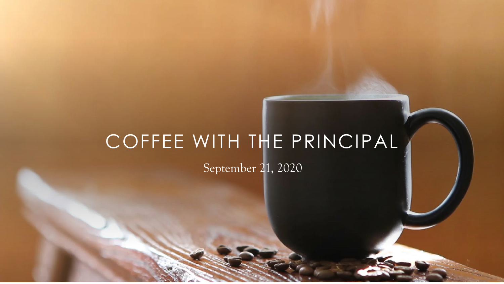# COFFEE WITH THE PRINCIPAL

September 21, 2020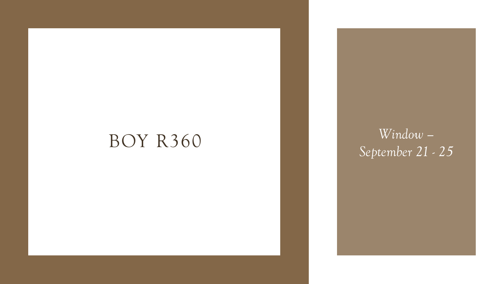## BOY R360 *Window*

*– September 21 - 25*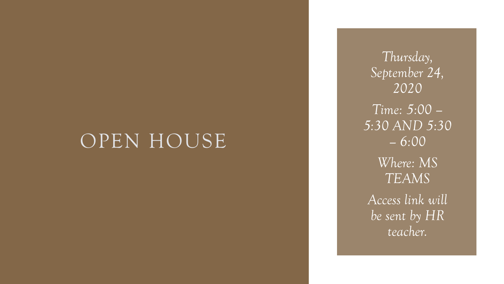## OPEN HOUSE

*Thursday, September 24, 2020 Time: 5:00 – 5:30 AND 5:30 – 6:00 Where: MS TEAMS Access link will be sent by HR teacher.*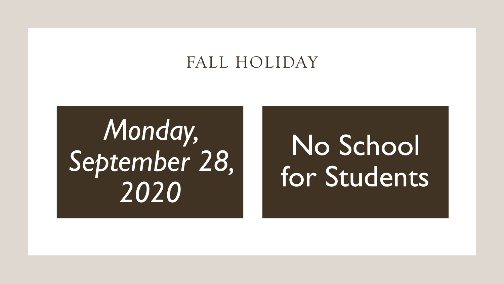### FALL HOLIDAY

*Monday, September 28, 2020*

# No School for Students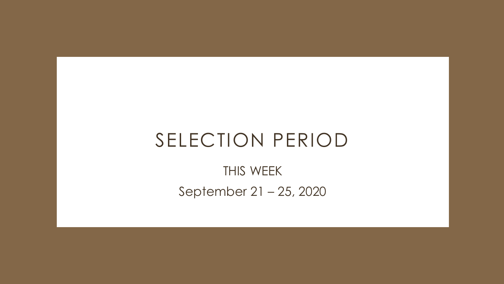## SELECTION PERIOD

THIS WEEK September 21 – 25, 2020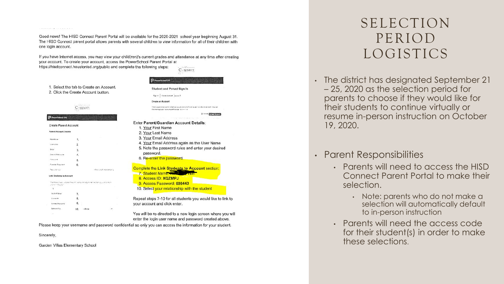#### Good news! The HISD Connect Parent Portal will be available for the 2020-2021 school year beginning August 31. The HISD Connect parent portal allows parents with several children to view information for all of their children with one login account.

If you have Internet access, you may view your child(ren)'s current grades and attendance at any time after creating your account. To create your account, access the PowerSchool Parent Portal at

https://hisdconnect.houstonisd.org/public and complete the following steps:



You will be re-directed to a new login screen where you will enter the login user name and password created above.

Please keep your username and password confidential so only you can access the information for your student.

Sincerely,

 $\label{eq:R1} \mathcal{L}(\mathcal{M}) = \mathcal{L}(\mathcal{M}) = \mathcal{L}(\mathcal{M}) = \mathcal{L}(\mathcal{M}) = \mathcal{L}(\mathcal{M}) = \mathcal{L}(\mathcal{M}) = \mathcal{L}(\mathcal{M}) = \mathcal{L}(\mathcal{M}).$ 

PowerSchool SIS

**Parent Account Details** 

First Now

Continue

**Historiana** Rowwer Passager

760×677-9

 $\mathcal{A}$ **Indentifican** 

Arrest Mt.

Atmosf Learner **Retireshill** 

Link Students to Account

**EVEREPRISONARY** 

 $terat$ 

**Create Parent Account** 

2. Click the Create Account button.

 $\overline{2}$ 

 $\overline{n}$ 

10  $\rightarrow$  Chose

Connect

Garden Villas Elementary School

### SELECTION PERIOD LOGISTICS

- The district has designated September 21 – 25, 2020 as the selection period for parents to choose if they would like for their students to continue virtually or resume in-person instruction on October 19, 2020.
- Parent Responsibilities
	- Parents will need to access the HISD Connect Parent Portal to make their selection.
		- Note: parents who do not make a selection will automatically default to in-person instruction
	- Parents will need the access code for their student(s) in order to make these selections.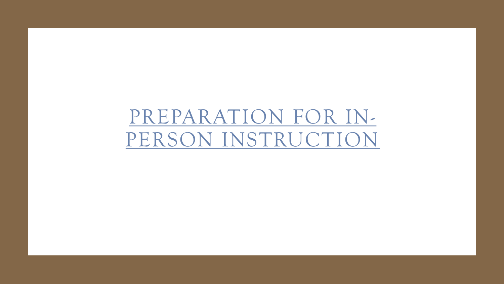# PREPARATION FOR IN-[PERSON INSTRUCTION](https://www.youtube.com/watch?v=-O2PMINo6wo&feature=youtu.be)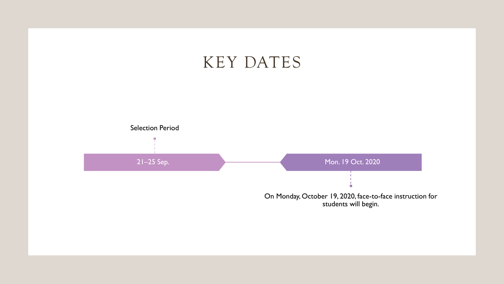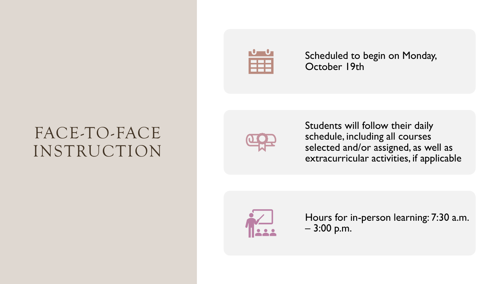## FACE-TO-FACE INSTRUCTION



Scheduled to begin on Monday, October 19th



Students will follow their daily schedule, including all courses selected and/or assigned, as well as extracurricular activities, if applicable



Hours for in-person learning: 7:30 a.m. – 3:00 p.m.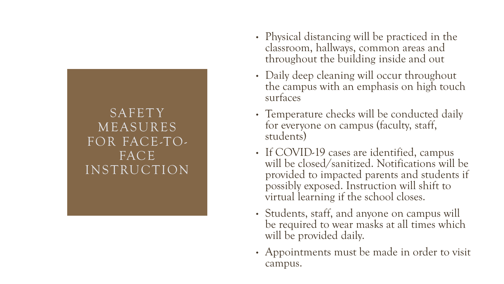

- Physical distancing will be practiced in the classroom, hallways, common areas and throughout the building inside and out
- Daily deep cleaning will occur throughout the campus with an emphasis on high touch surfaces
- Temperature checks will be conducted daily for everyone on campus (faculty, staff, students)
- If COVID-19 cases are identified, campus will be closed/sanitized. Notifications will be provided to impacted parents and students if possibly exposed. Instruction will shift to virtual learning if the school closes.
- Students, staff, and anyone on campus will be required to wear masks at all times which will be provided daily.
- Appointments must be made in order to visit campus.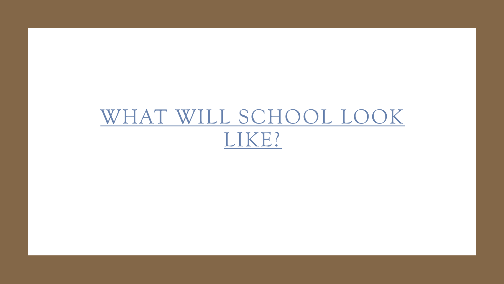# [WHAT WILL SCHOOL LOOK](https://youtu.be/BtL7zzIlB6M)  LIKE?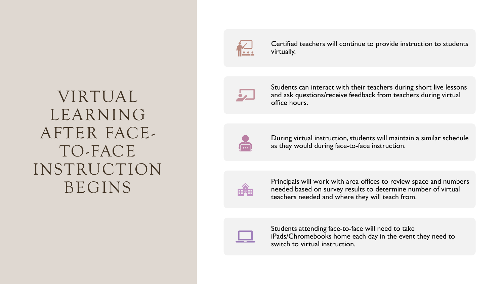## VIRTUAL LEARNING AFTER FACE-TO-FACE INSTRUCTION BEGINS



Certified teachers will continue to provide instruction to students virtually.



Students can interact with their teachers during short live lessons and ask questions/receive feedback from teachers during virtual office hours.



During virtual instruction, students will maintain a similar schedule as they would during face-to-face instruction.



Principals will work with area offices to review space and numbers needed based on survey results to determine number of virtual teachers needed and where they will teach from.



Students attending face-to-face will need to take iPads/Chromebooks home each day in the event they need to switch to virtual instruction.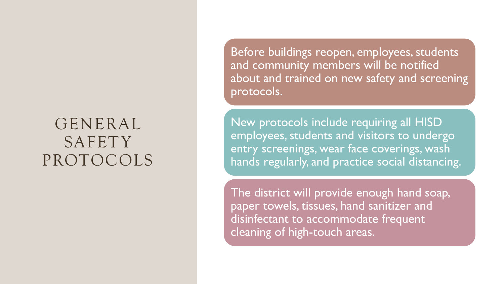### GENERAL **SAFETY** PROTOCOLS

Before buildings reopen, employees, students and community members will be notified about and trained on new safety and screening protocols.

New protocols include requiring all HISD employees, students and visitors to undergo entry screenings, wear face coverings, wash hands regularly, and practice social distancing.

The district will provide enough hand soap, paper towels, tissues, hand sanitizer and disinfectant to accommodate frequent cleaning of high-touch areas.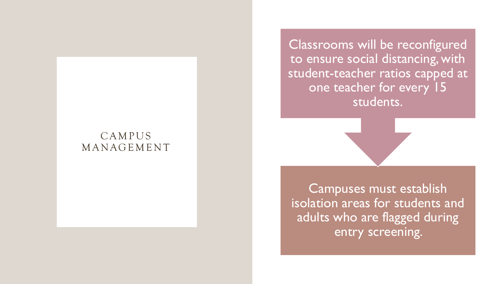### **CAMPUS MANAGEMENT**

Classrooms will be reconfigured to ensure social distancing, with student-teacher ratios capped at one teacher for every 15 students.

Campuses must establish isolation areas for students and adults who are flagged during entry screening.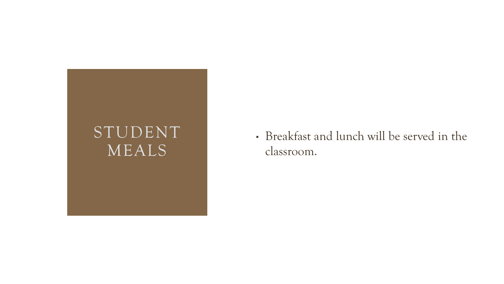

• Breakfast and lunch will be served in the classroom.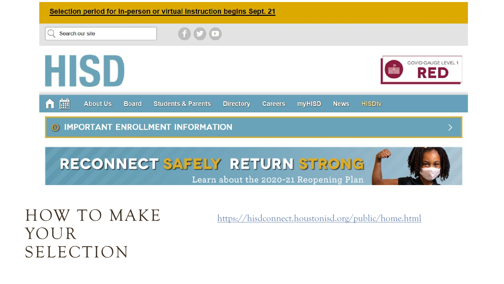

Learn about the 2020-21 Reopening Plan

HOW TO MAKE YOUR SELECTION

<https://hisdconnect.houstonisd.org/public/home.html>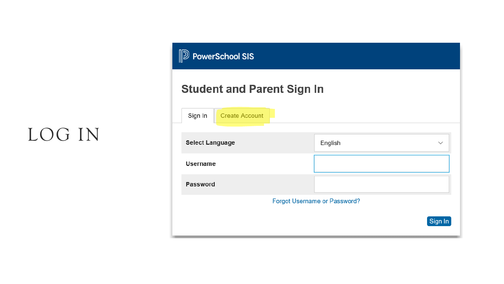## LOG IN

| <b>Dea</b> PowerSchool SIS          |         |              |  |  |
|-------------------------------------|---------|--------------|--|--|
| <b>Student and Parent Sign In</b>   |         |              |  |  |
| <b>Create Account</b><br>Sign In    |         |              |  |  |
| <b>Select Language</b>              | English | $\checkmark$ |  |  |
| <b>Username</b>                     |         |              |  |  |
| <b>Password</b>                     |         |              |  |  |
| <b>Forgot Username or Password?</b> |         |              |  |  |
|                                     |         | Sign In      |  |  |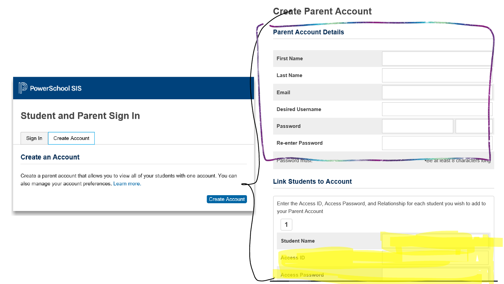### **D** PowerSchool SIS

### **Student and Parent Sign In**

Create Account Sign In

#### **Create an Account**

Create a parent account that allows you to view all of your students with one account. You can also manage your account preferences. Learn more.

Create Account

### **Create Parent Account**

| <b>Parent Account Details</b> |                                 |  |
|-------------------------------|---------------------------------|--|
|                               |                                 |  |
| <b>First Name</b>             |                                 |  |
| <b>Last Name</b>              |                                 |  |
| Email                         |                                 |  |
| <b>Desired Username</b>       |                                 |  |
| Password                      |                                 |  |
| <b>Re-enter Password</b>      |                                 |  |
| Password musi.                | • be at least 8 characters long |  |

### **Link Students to Account**

Enter the Access ID, Access Password, and Relationship for each student you wish to add to your Parent Account

| <b>Student Name</b>    |  |
|------------------------|--|
| <b>Access ID</b>       |  |
| <b>Access Password</b> |  |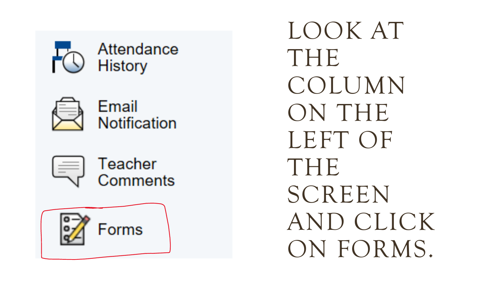



Email Notification





LOOK AT THE COLUMN ON THE LEFT OF THE SCREEN AND CLICK ON FORMS.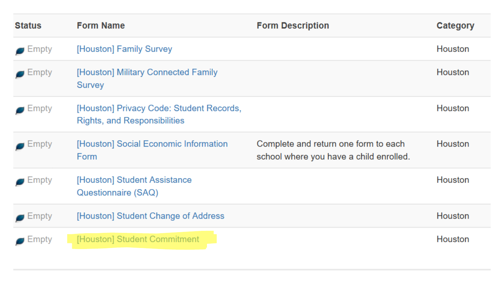| <b>Status</b>        | <b>Form Name</b>                                                                | <b>Form Description</b>                                                         | Category |
|----------------------|---------------------------------------------------------------------------------|---------------------------------------------------------------------------------|----------|
| $\blacksquare$ Empty | [Houston] Family Survey                                                         |                                                                                 | Houston  |
| $\blacksquare$ Empty | [Houston] Military Connected Family<br><b>Survey</b>                            |                                                                                 | Houston  |
| $\blacksquare$ Empty | [Houston] Privacy Code: Student Records,<br><b>Rights, and Responsibilities</b> |                                                                                 | Houston  |
| $\blacksquare$ Empty | [Houston] Social Economic Information<br>Form                                   | Complete and return one form to each<br>school where you have a child enrolled. | Houston  |
| $\blacksquare$ Empty | [Houston] Student Assistance<br>Questionnaire (SAQ)                             |                                                                                 | Houston  |
| Empty                | [Houston] Student Change of Address                                             |                                                                                 | Houston  |
| :mpty                | [Houston] Student Commitment                                                    |                                                                                 | Houston  |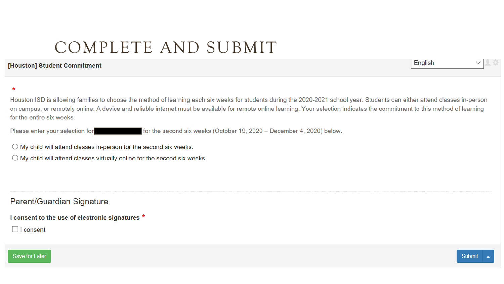### COMPLETE AND SUBMIT

#### [Houston] Student Commitment

English

#### $\star$

Houston ISD is allowing families to choose the method of learning each six weeks for students during the 2020-2021 school year. Students can either attend classes in-person on campus, or remotely online. A device and reliable internet must be available for remote online learning. Your selection indicates the commitment to this method of learning for the entire six weeks.

Please enter your selection for for the second six weeks (October 19, 2020 - December 4, 2020) below.

 $\bigcirc$  My child will attend classes in-person for the second six weeks.

 $\bigcirc$  My child will attend classes virtually online for the second six weeks.

Parent/Guardian Signature

I consent to the use of electronic signatures \*

 $\Box$  I consent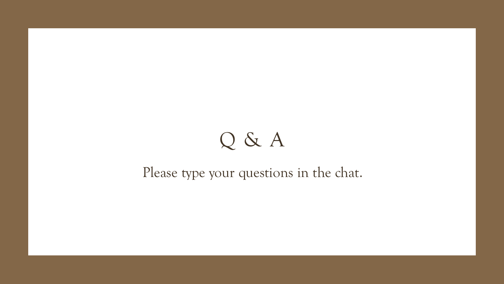# Q & A

### Please type your questions in the chat.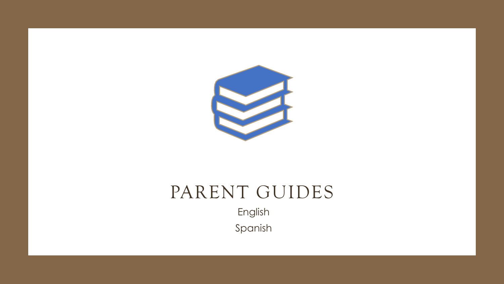

## PARENT GUIDES

English Spanish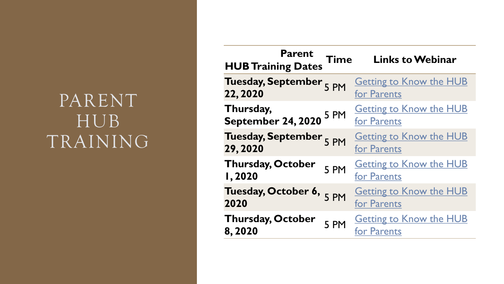## PARENT HUB TRAINING

| <b>Parent</b><br><b>HUB Training Dates</b> | <b>Time</b> | <b>Links to Webinar</b>                       |
|--------------------------------------------|-------------|-----------------------------------------------|
| Tuesday, September 5 PM<br>22, 2020        |             | <b>Getting to Know the HUB</b><br>for Parents |
| Thursday,<br>September 24, 2020            | 5 PM        | <b>Getting to Know the HUB</b><br>for Parents |
| <b>Tuesday, September</b><br>29,2020       | 5 PM        | <b>Getting to Know the HUB</b><br>for Parents |
| <b>Thursday, October</b><br><b>I,2020</b>  | 5 PM        | <b>Getting to Know the HUB</b><br>for Parents |
| Tuesday, October 6,<br>2020                | 5 PM        | <b>Getting to Know the HUB</b><br>for Parents |
| <b>Thursday, October</b><br>8,2020         | 5 PM        | <b>Getting to Know the HUB</b><br>for Parents |